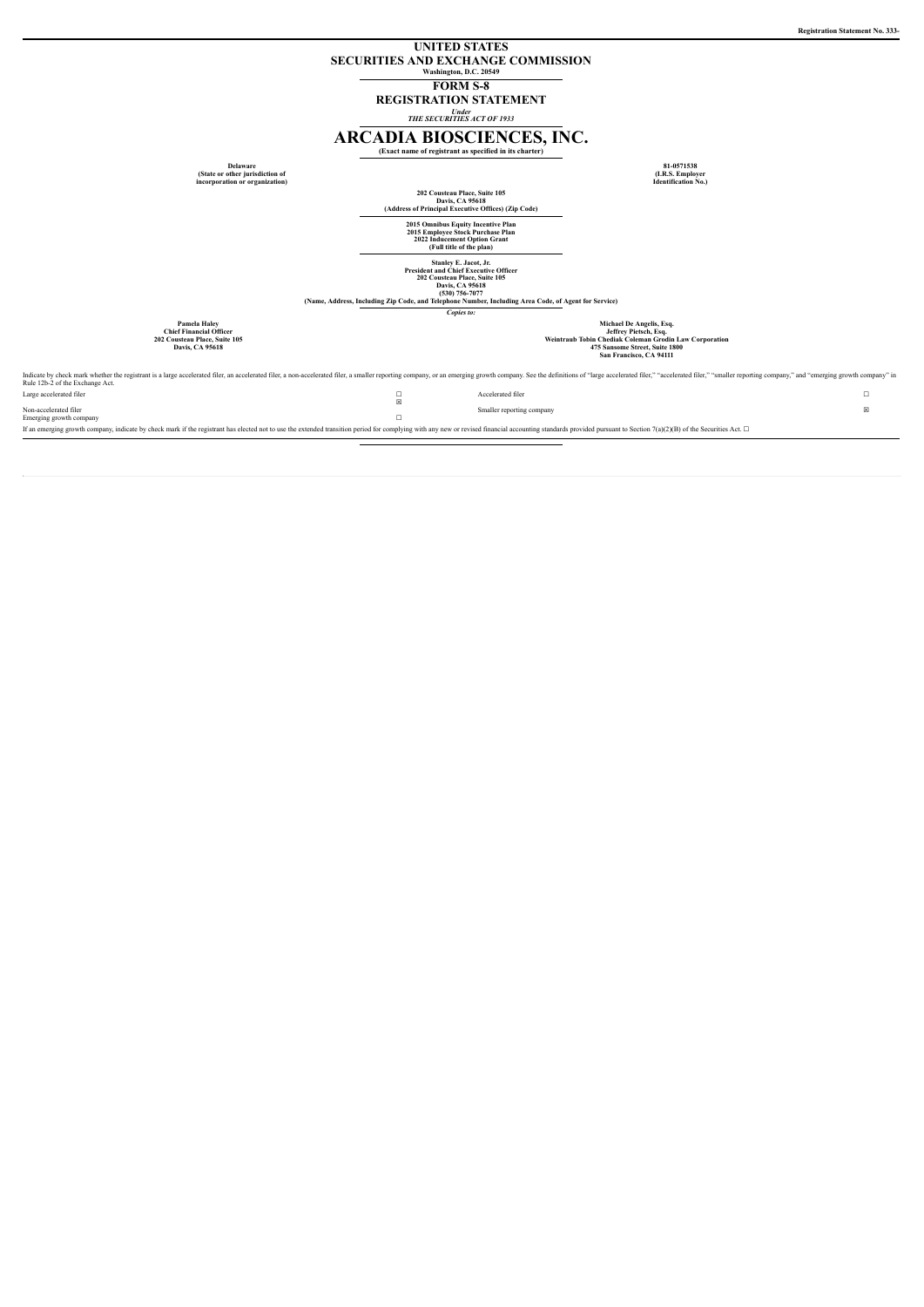## **UNITED STATES SECURITIES AND EXCHANGE COMMISSION Washington, D.C. 20549**

**FORM S-8**

**REGISTRATION STATEMENT**

*Under THE SECURITIES ACT OF 1933*

# **ARCADIA BIOSCIENCES, INC.**

**(Exact name of registrant as specified in its charter)**

|                                                                                                           | (Exact name of registrant as specified in its charter)                                                                                                                                                                         |                                                                                                                                                                          |  |  |
|-----------------------------------------------------------------------------------------------------------|--------------------------------------------------------------------------------------------------------------------------------------------------------------------------------------------------------------------------------|--------------------------------------------------------------------------------------------------------------------------------------------------------------------------|--|--|
| <b>Delaware</b><br>(State or other jurisdiction of<br>incorporation or organization)                      |                                                                                                                                                                                                                                | 81-0571538<br>(I.R.S. Employer<br><b>Identification No.)</b>                                                                                                             |  |  |
|                                                                                                           | 202 Cousteau Place, Suite 105<br>Davis, CA 95618<br>(Address of Principal Executive Offices) (Zip Code)                                                                                                                        |                                                                                                                                                                          |  |  |
|                                                                                                           | 2015 Omnibus Equity Incentive Plan<br>2015 Employee Stock Purchase Plan<br>2022 Inducement Option Grant<br>(Full title of the plan)                                                                                            |                                                                                                                                                                          |  |  |
|                                                                                                           | Stanley E. Jacot, Jr.<br><b>President and Chief Executive Officer</b><br>202 Cousteau Place, Suite 105<br>Davis, CA 95618<br>(530) 756-7077                                                                                    |                                                                                                                                                                          |  |  |
|                                                                                                           | (Name, Address, Including Zip Code, and Telephone Number, Including Area Code, of Agent for Service)<br>Copies to:                                                                                                             |                                                                                                                                                                          |  |  |
| Pamela Haley<br><b>Chief Financial Officer</b><br>202 Cousteau Place, Suite 105<br><b>Davis, CA 95618</b> |                                                                                                                                                                                                                                | Michael De Angelis, Esq.<br>Jeffrey Pietsch, Esq.<br>Weintraub Tobin Chediak Coleman Grodin Law Corporation<br>475 Sansome Street, Suite 1800<br>San Francisco, CA 94111 |  |  |
|                                                                                                           | s a large accelerated filer, an accelerated filer, a non-accelerated filer, a smaller reporting company, or an emerging growth company. See the definitions of "large accelerated filer," "accelerated filer," "smaller report |                                                                                                                                                                          |  |  |

Indicate by check mark whether the registrant is a large accelerated filer, an accelerated filer, an ancelerated filer, anon-accelerated filer, anon-accelerated filer, anon-accelerated filer, anonller reporting company, or Large accelerated filer  $□$  Accelerated filer  $□$  $\Box$ Smaller reporting company  $\hfill\boxtimes$ 

Non-accelerated filer Emerging growth company ☐ If an emerging growth company, indicate by check mark if the registrant has elected not to use the extended transition period for complying with any new or revised financial accounting standards provided pursuant to Secti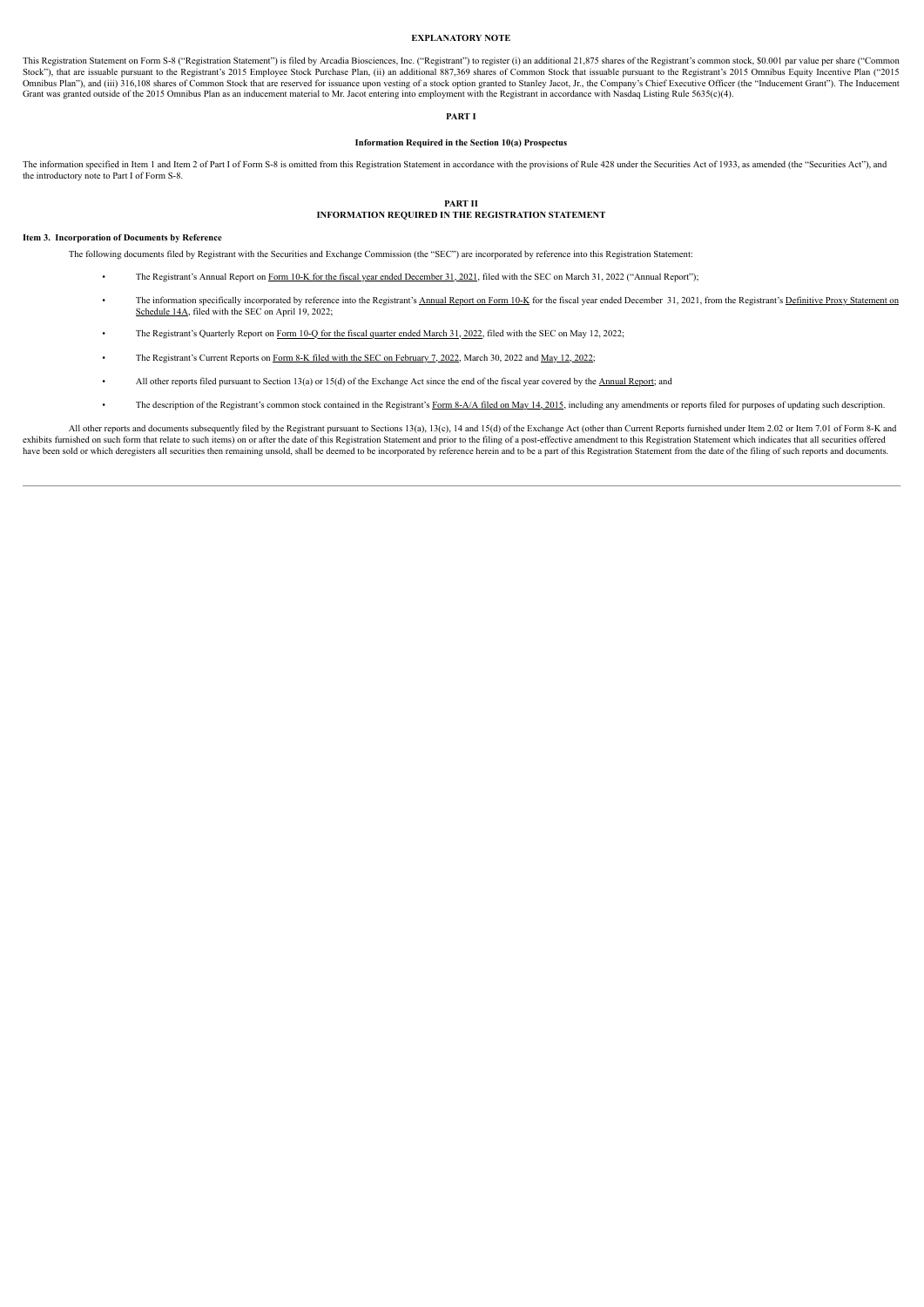#### **EXPLANATORY NOTE**

This Registration Statement on Form S-8 ("Registration Statement") is filed by Arcadia Biosciences, Inc. ("Registrant") to register (i) an additional 21,875 shares of the Registrant's common stock, \$0.001 par value per sha Stock"), that are issuable pursuant to the Registrant's 2015 Employee Stock Purchase Plan, (ii) an additional 887,369 shares of Common Stock that issuable pursuant to the Registrant's 2015 Omnibus Equity Incentive Plan ("2 Grant was granted outside of the 2015 Omnibus Plan as an inducement material to Mr. Jacot entering into employment with the Registrant in accordance with Nasdaq Listing Rule 5635(c)(4).

### **PART I**

## **Information Required in the Section 10(a) Prospectus**

The information specified in Item 1 and Item 2 of Part I of Form S-8 is omitted from this Registration Statement in accordance with the provisions of Rule 428 under the Securities Act of 1933, as amended (the "Securities A the introductory note to Part I of Form S-8.

#### **PART II INFORMATION REQUIRED IN THE REGISTRATION STATEMENT**

#### **Item 3. Incorporation of Documents by Reference**

The following documents filed by Registrant with the Securities and Exchange Commission (the "SEC") are incorporated by reference into this Registration Statement:

- The Registrant's Annual Report on Form 10-K for the fiscal year ended [December](https://www.sec.gov/ix?doc=/Archives/edgar/data/1469443/000095017022005253/rkda-20211231.htm) 31, 2021, filed with the SEC on March 31, 2022 ("Annual Report");
- The information specifically [incorporated](http://www.sec.gov/Archives/edgar/data/1469443/000095017022005802/rkda-fy21-proxy_def14a.htm) by reference into the Registrant's [Annual](https://www.sec.gov/ix?doc=/Archives/edgar/data/1469443/000095017022005253/rkda-20211231.htm) Report on Form 10-K for the fiscal year ended December 31, 2021, from the Registrant's Definitive Proxy Statement on Schedule 14A, filed w
- The Registrant's Quarterly Report on Form 10-Q for the fiscal [quarter](https://www.sec.gov/ix?doc=/Archives/edgar/data/1469443/000095017022009747/rkda-20220331.htm) ended March 31, 2022, filed with the SEC on May 12, 2022;
- The Registrant's Current Reports on Form 8-K filed with the SEC on [February](https://www.sec.gov/ix?doc=/Archives/edgar/data/1469443/000095017022000832/rkda-20220202.htm) 7, 2022, March 30, 2022 and May 12, [2022](https://www.sec.gov/ix?doc=/Archives/edgar/data/1469443/000095017022009652/rkda-20220512.htm);
- All other reports filed pursuant to Section 13(a) or 15(d) of the Exchange Act since the end of the fiscal year covered by the [Annual](https://www.sec.gov/ix?doc=/Archives/edgar/data/1469443/000095017022005253/rkda-20211231.htm) Report; and
- The description of the Registrant's common stock contained in the Registrant's Form [8-A/A](http://www.sec.gov/Archives/edgar/data/1469443/000110465915038158/a14-21977_88a12ba.htm) filed on May 14, 2015, including any amendments or reports filed for purposes of updating such description.

All other reports and documents subsequently filed by the Registrant pursuant to Sections 13(a), 13(c), 14 and 15(d) of the Exchange Act (other than Current Reports furnished under Item 2.02 or Item 7.01 of Form 8-K and exhibits furnished on such form that relate to such items) on or after the date of this Registration Statement and prior to the filing of a post-effective amendment to this Registration Statement which indicates that all s have been sold or which deregisters all securities then remaining unsold, shall be deemed to be incorporated by reference herein and to be a part of this Registration Statement from the date of the filing of such reports a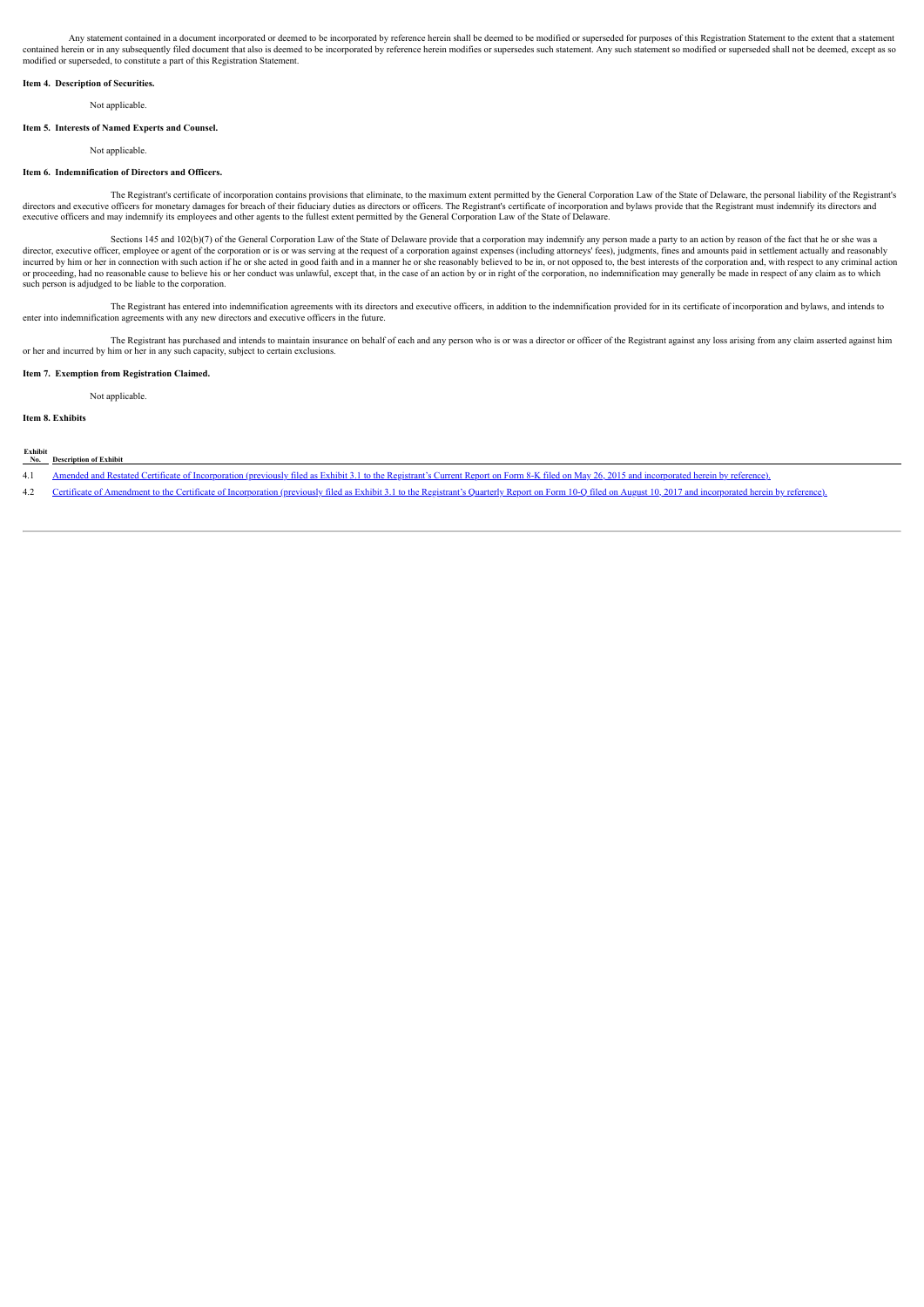Any statement contained in a document incorporated or deemed to be incorporated by reference herein shall be deemed to be modified or superseded for purposes of this Registration Statement to the extent that a statement contained herein or in any subsequently filed document that also is deemed to be incorporated by reference herein modifies or supersedes such statement. Any such statement so modified or superseded shall not be deemed, exc modified or superseded, to constitute a part of this Registration Statement.

### **Item 4. Description of Securities.**

Not applicable.

#### **Item 5. Interests of Named Experts and Counsel.**

Not applicable

#### **Item 6. Indemnification of Directors and Officers.**

The Registrant's certificate of incorporation contains provisions that eliminate, to the maximum extent permitted by the General Corporation Law of the State of Delaware, the personal liability of the Registrant's directors and executive officers for monetary damages for breach of their fiduciary duties as directors or officers. The Registrant's certificate of incorporation and bylaws provide that the Registrant must indemnify its d executive officers and may indemnify its employees and other agents to the fullest extent permitted by the General Corporation Law of the State of Delaware.

Sections 145 and 102(b)(7) of the General Corporation Law of the State of Delaware provide that a corporation may indemnify any person made a party to an action by reason of the fact that he or she was a director, executive officer, employee or agent of the corporation or is or was serving at the request of a corporation against expenses (including attorneys' fees), judgments, fines and amounts paid in settlement actually or proceeding, had no reasonable cause to believe his or her conduct was unlawful, except that, in the case of an action by or in right of the corporation, no indemnification may generally be made in respect of any claim a such person is adjudged to be liable to the corporation.

The Registrant has entered into indemnification agreements with its directors and executive officers, in addition to the indemnification provided for in its certificate of incorporation and bylaws, and intends to enter into indemnification agreements with any new directors and executive officers in the future.

The Registrant has purchased and intends to maintain insurance on behalf of each and any person who is or was a director or officer of the Registrant against any loss arising from any claim asserted against him or her and incurred by him or her in any such capacity, subject to certain exclusions.

#### **Item 7. Exemption from Registration Claimed.**

Not applicable.

**Item 8. Exhibits**

# **Exhibit**

- 4.1 Amended and Restated Certificate of [Incorporation](http://www.sec.gov/Archives/edgar/data/1469443/000110465915040719/a15-12668_1ex3d1.htm) (previously filed as Exhibit 3.1 to the Registrant's Current Report on Form 8-K filed on May 26, 2015 and incorporated herein by reference).
- 4.2 Certificate of Amendment to the Certificate of [Incorporation](http://www.sec.gov/Archives/edgar/data/1469443/000156459017017266/rkda-ex31_120.htm) (previously filed as Exhibit 3.1 to the Registrant's Quarterly Report on Form 10-Q filed on August 10, 2017 and incorporated herein by reference).

**No. Description of Exhibit**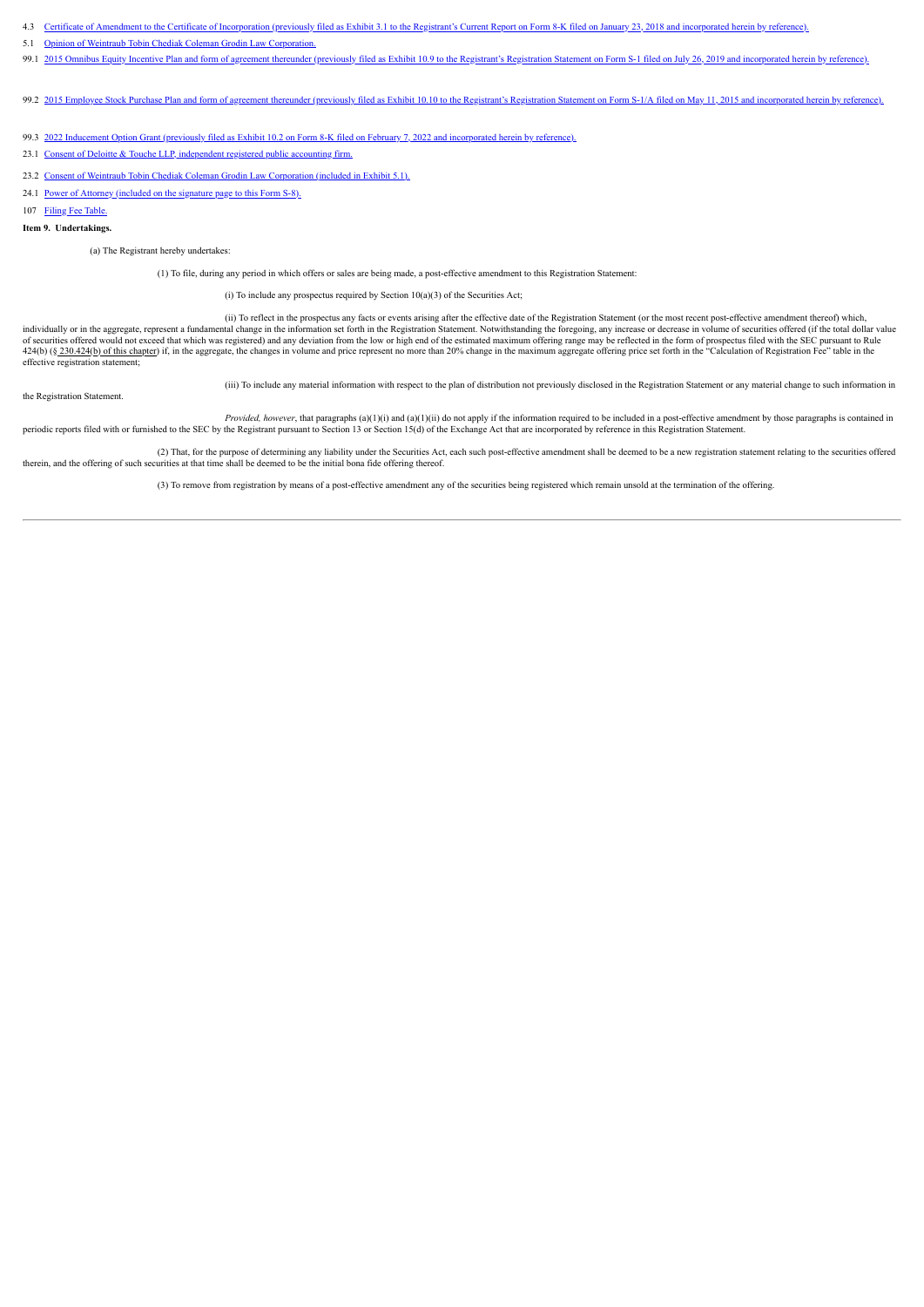- 4.3 Certificate of Amendment to the Certificate of [Incorporation](http://www.sec.gov/Archives/edgar/data/1469443/000156459018000793/rkda-ex31_6.htm) (previously filed as Exhibit 3.1 to the Registrant's Current Report on Form 8-K filed on January 23, 2018 and incorporated herein by reference).
- 5.1 Opinion of Weintraub Tobin Chediak Coleman Grodin Law [Corporation.](#page-7-0)
- 99.1 2015 Omnibus Equity Incentive Plan and form of agreement thereunder (previously filed as Exhibit 10.9 to the Registrant's Registration Statement on Form S-1 filed on July 26, 2019 and [incorporated](http://www.sec.gov/Archives/edgar/data/1469443/000119312519204064/d770210dex109.htm) herein by reference)
- 99.2 2015 Employee Stock Purchase Plan and form of agreement thereunder (previously filed as Exhibit 10.10 to the Registrant's Registration Statement on Form S-1/A filed on May 11, 2015 and [incorporated](http://www.sec.gov/Archives/edgar/data/1469443/000104746915004608/a2224712zex-10_10.htm) herein by reference
- 99.3 2022 Inducement Option Grant (previously filed as Exhibit 10.2 on Form 8-K filed on February 7, 2022 and [incorporated](http://www.sec.gov/Archives/edgar/data/1469443/000095017022000832/rkda-ex10_2.htm) herein by reference).
- 23.1 Consent of Deloitte & Touche LLP, [independent](#page-9-0) registered public accounting firm.
- 23.2 Consent of Weintraub Tobin Chediak Coleman Grodin Law [Corporation](#page-7-0) (included in Exhibit 5.1).
- 24.1 <u>Power of Attorney [\(included](#page-6-0) on the signature page to this Form S-8).</u>
- 107 Filing Fee [Table.](#page-10-0)

## **Item 9. Undertakings.**

(a) The Registrant hereby undertakes:

(1) To file, during any period in which offers or sales are being made, a post-effective amendment to this Registration Statement:

(i) To include any prospectus required by Section  $10(a)(3)$  of the Securities Act;

(ii) To reflect in the prospectus any facts or events arising after the effective date of the Registration Statement (or the most recent post-effective amendment thereof) which, individually or in the aggregate, represent a fundamental change in the information set forth in the Registration Statement. Notwithstanding the foregoing, any increase or decrease in volume of securities offered (if the t of securities offered would not exceed that which was registered) and any deviation from the low or high end of the estimated maximum offering range may be reflected in the form of prospectus filed with the SEC pursuant to 424(b) (§ 230.424(b) of this chapter) if, in the aggregate, the changes in volume and price represent no more than 20% change in the maximum aggregate offering price set forth in the "Calculation of Registration Fee" table effective registration statement;

the Registration Statement.

(iii) To include any material information with respect to the plan of distribution not previously disclosed in the Registration Statement or any material change to such information in

*Provided, however*, that paragraphs (a)(1)(i) and (a)(1)(ii) do not apply if the information required to be included in a post-effective amendment by those paragraphs is contained in periodic reports filed with or furnished to the SEC by the Registrant pursuant to Section 13 or Section 15(d) of the Exchange Act that are incorporated by reference in this Registration Statement.

(2) That, for the purpose of determining any liability under the Securities Act, each such post-effective amendment shall be deemed to be a new registration statement relating to the securities offered therein, and the offering of such securities at that time shall be deemed to be the initial bona fide offering thereof.

(3) To remove from registration by means of a post-effective amendment any of the securities being registered which remain unsold at the termination of the offering.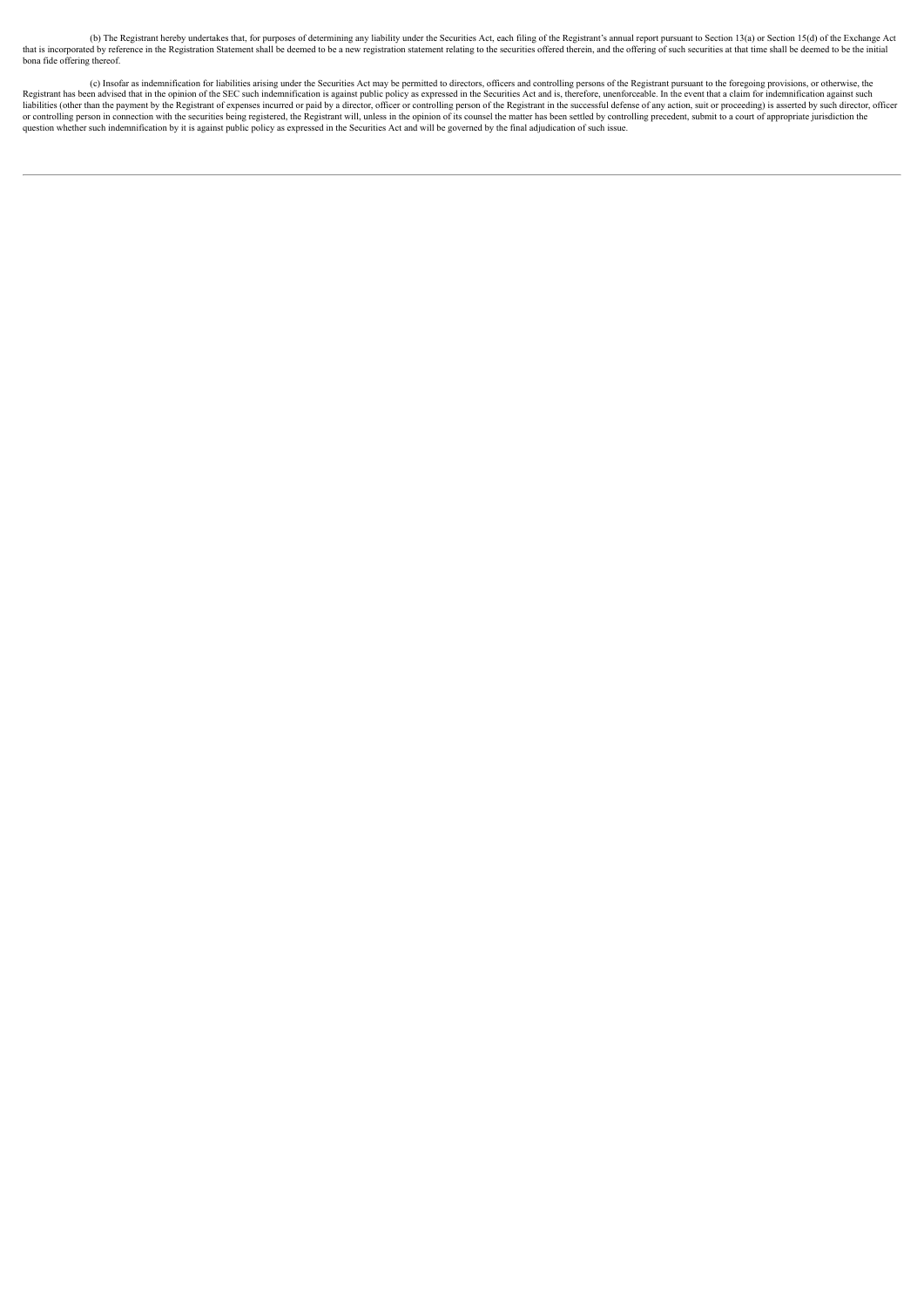(b) The Registrant hereby undertakes that, for purposes of determining any liability under the Securities Act, each filing of the Registrant's annual report pursuant to Section 13(a) or Section 15(d) of the Exchange Act<br>th bona fide offering thereof.

(c) Insofar as indemnification for liabilities arising under the Securities Act may be permitted to directors, officers and controlling persons of the Registrant pursuant to the foregoing provisions, or otherwise, the Regi question whether such indemnification by it is against public policy as expressed in the Securities Act and will be governed by the final adjudication of such issue.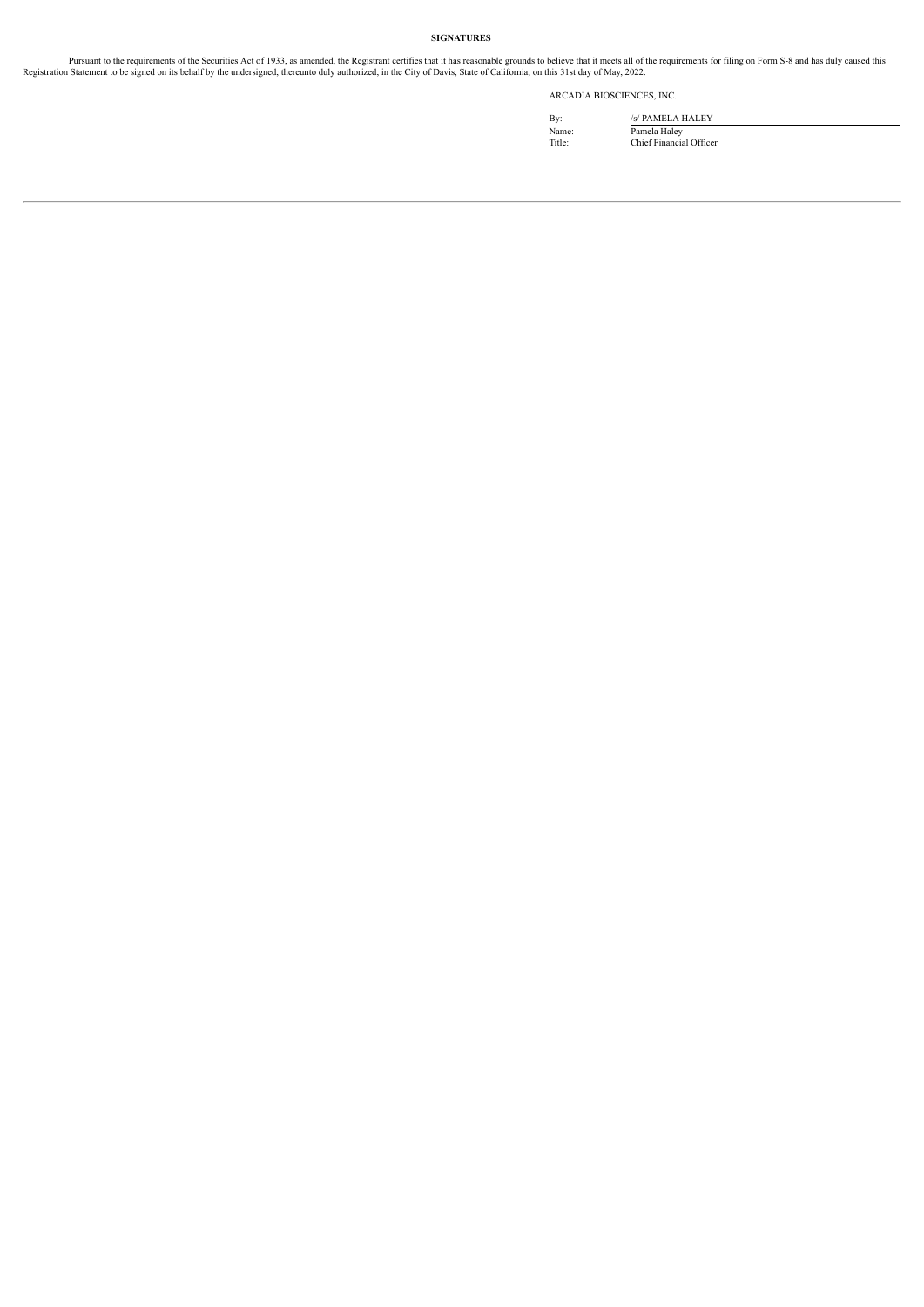# **SIGNATURES**

Pursuant to the requirements of the Securities Act of 1933, as amended, the Registrant certifies that it has reasonable grounds to believe that it meets all of the requirements for filing on Form S-8 and has duly caused th

ARCADIA BIOSCIENCES, INC.

By: /s/ PAMELA HALEY Name: Pamela Haley Title: Chief Financial Officer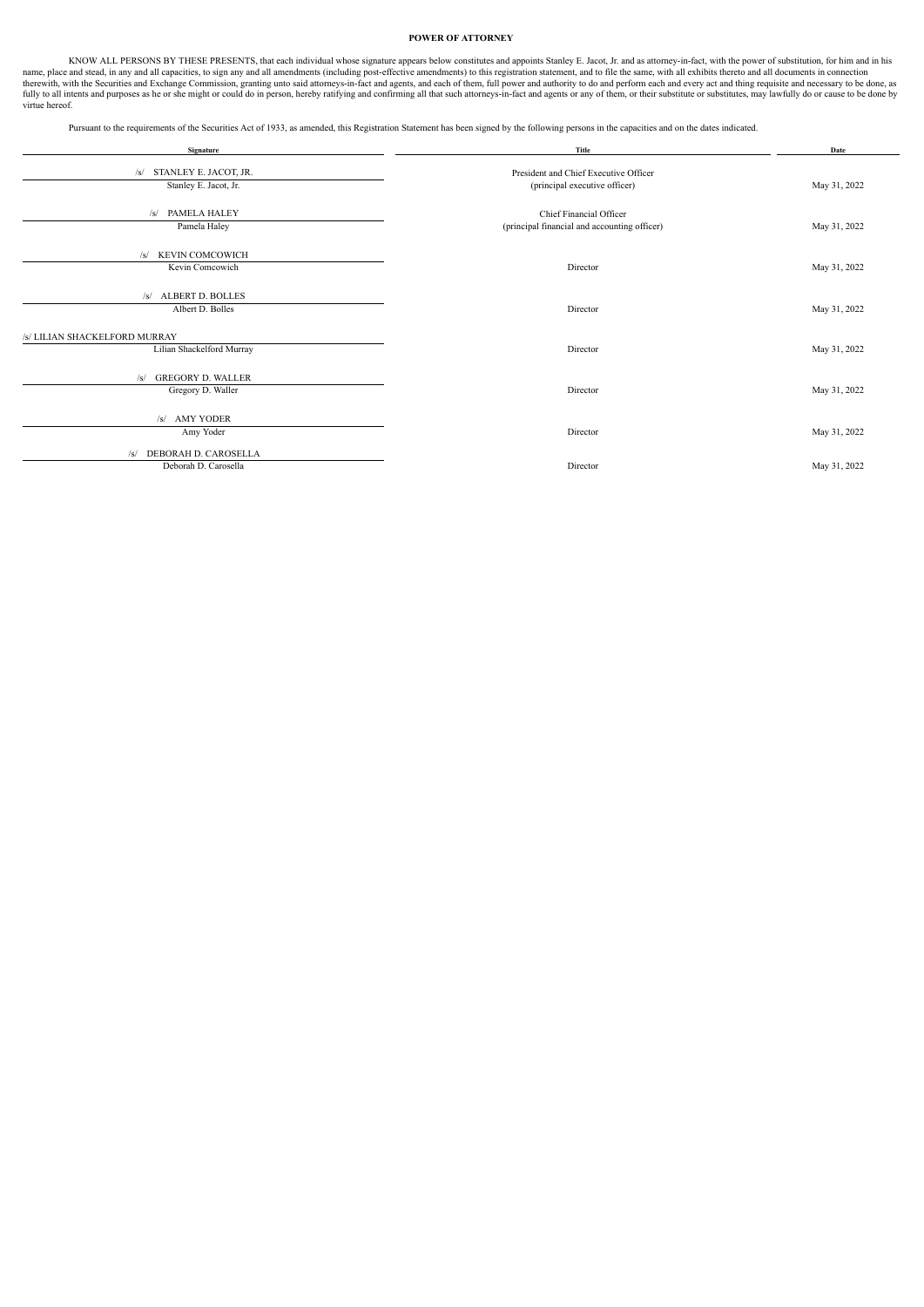## **POWER OF ATTORNEY**

<span id="page-6-0"></span>KNOW ALL PERSONS BY THESE PRESENTS, that each individual whose signature appears below constitutes and appoints Stanley E. Jacot, Jr. and as attorney-in-fact, with the power of substitution, for him and in his name, place and stead, in any and all capacities, to sign any and all amendments (including post-effective amendments) to this registration statement, and to file the same, with all exhibits thereto and all documents in co virtue hereof.

Pursuant to the requirements of the Securities Act of 1933, as amended, this Registration Statement has been signed by the following persons in the capacities and on the dates indicated.

| Signature                       | Title                                        | Date         |
|---------------------------------|----------------------------------------------|--------------|
| /s/ STANLEY E. JACOT, JR.       | President and Chief Executive Officer        |              |
| Stanley E. Jacot, Jr.           | (principal executive officer)                | May 31, 2022 |
|                                 |                                              |              |
| PAMELA HALEY<br>/s/             | Chief Financial Officer                      |              |
| Pamela Haley                    | (principal financial and accounting officer) | May 31, 2022 |
|                                 |                                              |              |
| KEVIN COMCOWICH<br>/s/          |                                              |              |
| Kevin Comcowich                 | Director                                     | May 31, 2022 |
|                                 |                                              |              |
| /s/ ALBERT D. BOLLES            |                                              |              |
| Albert D. Bolles                | Director                                     | May 31, 2022 |
|                                 |                                              |              |
| /s/ LILIAN SHACKELFORD MURRAY   |                                              |              |
| Lilian Shackelford Murray       | Director                                     | May 31, 2022 |
|                                 |                                              |              |
| <b>GREGORY D. WALLER</b><br>/s/ |                                              |              |
| Gregory D. Waller               | Director                                     | May 31, 2022 |
|                                 |                                              |              |
| /s/ AMY YODER                   |                                              |              |
| Amy Yoder                       | Director                                     | May 31, 2022 |
|                                 |                                              |              |
| DEBORAH D. CAROSELLA<br>/s/     |                                              |              |
| Deborah D. Carosella            | Director                                     | May 31, 2022 |
|                                 |                                              |              |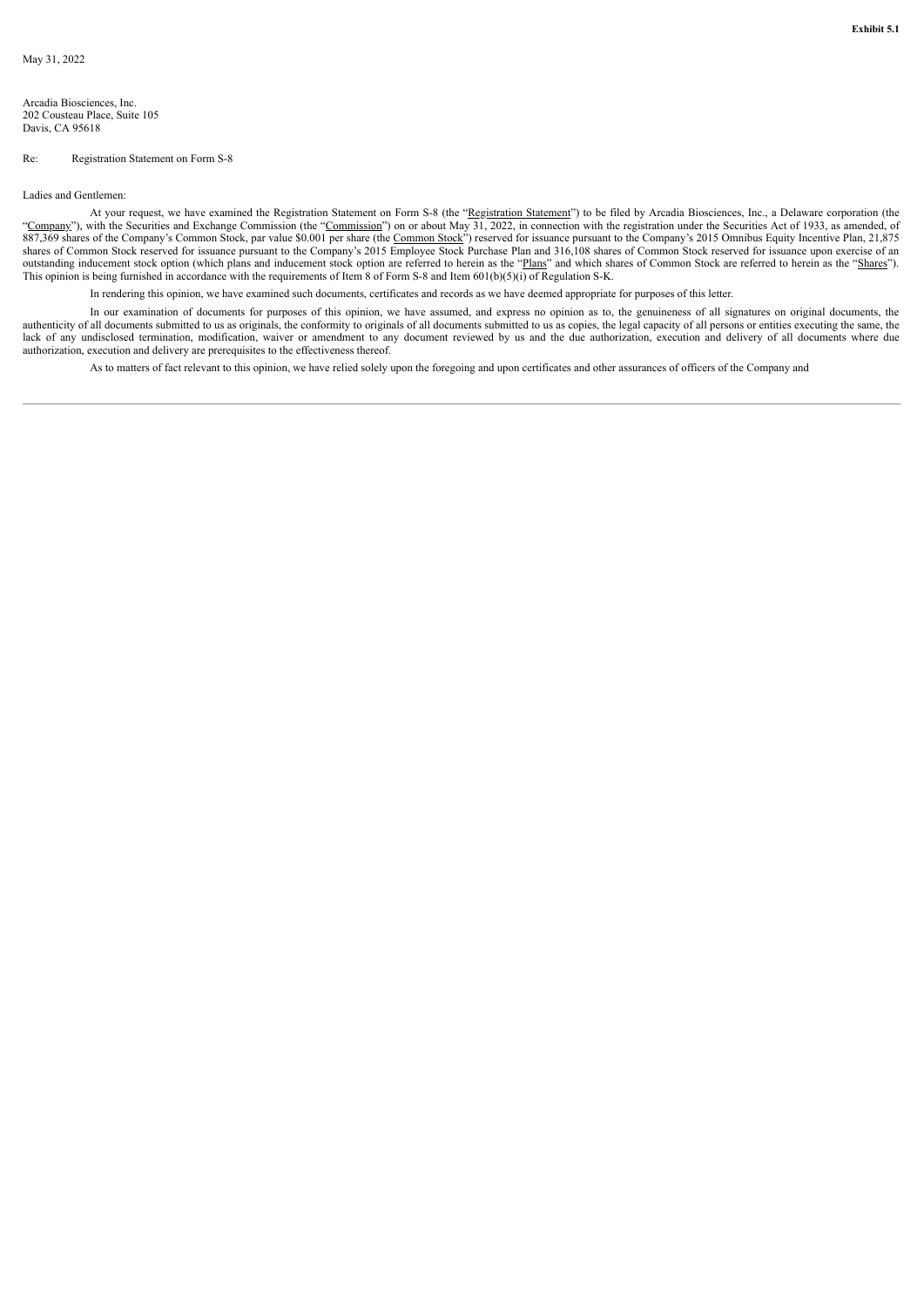<span id="page-7-0"></span>Arcadia Biosciences, Inc. 202 Cousteau Place, Suite 105 Davis, CA 95618

## Re: Registration Statement on Form S-8

Ladies and Gentlemen:

At your request, we have examined the Registration Statement on Form S-8 (the "Registration Statement") to be filed by Arcadia Biosciences, Inc., a Delaware corporation (the "Company"), with the Securities and Exchange Commission (the "Commission") on or about May 31, 2022, in connection with the registration under the Securities Act of 1933, as amended, of 887,369 shares of the Company's Common Stock, par value \$0.001 per share (the Common Stock") reserved for issuance pursuant to the Company's 2015 Omnibus Equity Incentive Plan, 21,875 shares of Common Stock reserved for issuance pursuant to the Company's 2015 Employee Stock Purchase Plan and 316,108 shares of Common Stock reserved for issuance upon exercise of an outstanding inducement stock option (which plans and inducement stock option are referred to herein as the "Plans" and which shares of Common Stock are referred to herein as the "Shares"). This opinion is being furnished in accordance with the requirements of Item 8 of Form S-8 and Item 601(b)(5)(i) of Regulation S-K.

In rendering this opinion, we have examined such documents, certificates and records as we have deemed appropriate for purposes of this letter.

In our examination of documents for purposes of this opinion, we have assumed, and express no opinion as to, the genuineness of all signatures on original documents, the authenticity of all documents submitted to us as originals, the conformity to originals of all documents submitted to us as copies, the legal capacity of all persons or entities executing the same, the lack of any undisclosed termination, modification, waiver or amendment to any document reviewed by us and the due authorization, execution and delivery of all documents where due authorization, execution and delivery are prerequisites to the effectiveness thereof.

As to matters of fact relevant to this opinion, we have relied solely upon the foregoing and upon certificates and other assurances of officers of the Company and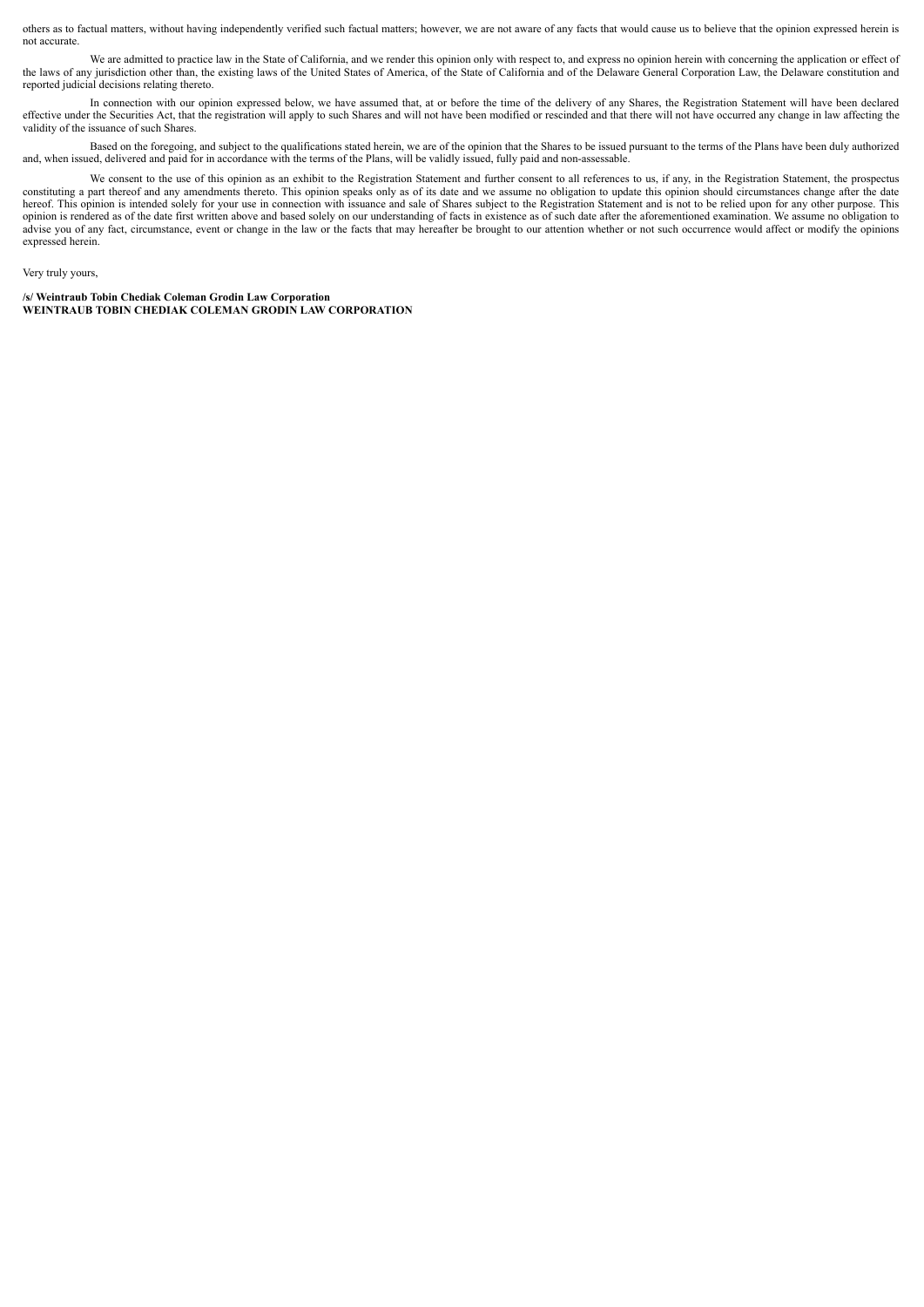others as to factual matters, without having independently verified such factual matters; however, we are not aware of any facts that would cause us to believe that the opinion expressed herein is not accurate.

We are admitted to practice law in the State of California, and we render this opinion only with respect to, and express no opinion herein with concerning the application or effect of the laws of any jurisdiction other than, the existing laws of the United States of America, of the State of California and of the Delaware General Corporation Law, the Delaware constitution and reported judicial decisions relating thereto.

In connection with our opinion expressed below, we have assumed that, at or before the time of the delivery of any Shares, the Registration Statement will have been declared effective under the Securities Act, that the registration will apply to such Shares and will not have been modified or rescinded and that there will not have occurred any change in law affecting the validity of the issuance of such Shares.

Based on the foregoing, and subject to the qualifications stated herein, we are of the opinion that the Shares to be issued pursuant to the terms of the Plans have been duly authorized and, when issued, delivered and paid for in accordance with the terms of the Plans, will be validly issued, fully paid and non-assessable.

We consent to the use of this opinion as an exhibit to the Registration Statement and further consent to all references to us, if any, in the Registration Statement, the prospectus constituting a part thereof and any amendments thereto. This opinion speaks only as of its date and we assume no obligation to update this opinion should circumstances change after the date hereof. This opinion is intended solely for your use in connection with issuance and sale of Shares subject to the Registration Statement and is not to be relied upon for any other purpose. This opinion is rendered as of the date first written above and based solely on our understanding of facts in existence as of such date after the aforementioned examination. We assume no obligation to advise you of any fact, circumstance, event or change in the law or the facts that may hereafter be brought to our attention whether or not such occurrence would affect or modify the opinions expressed herein.

## Very truly yours,

**/s/ Weintraub Tobin Chediak Coleman Grodin Law Corporation WEINTRAUB TOBIN CHEDIAK COLEMAN GRODIN LAW CORPORATION**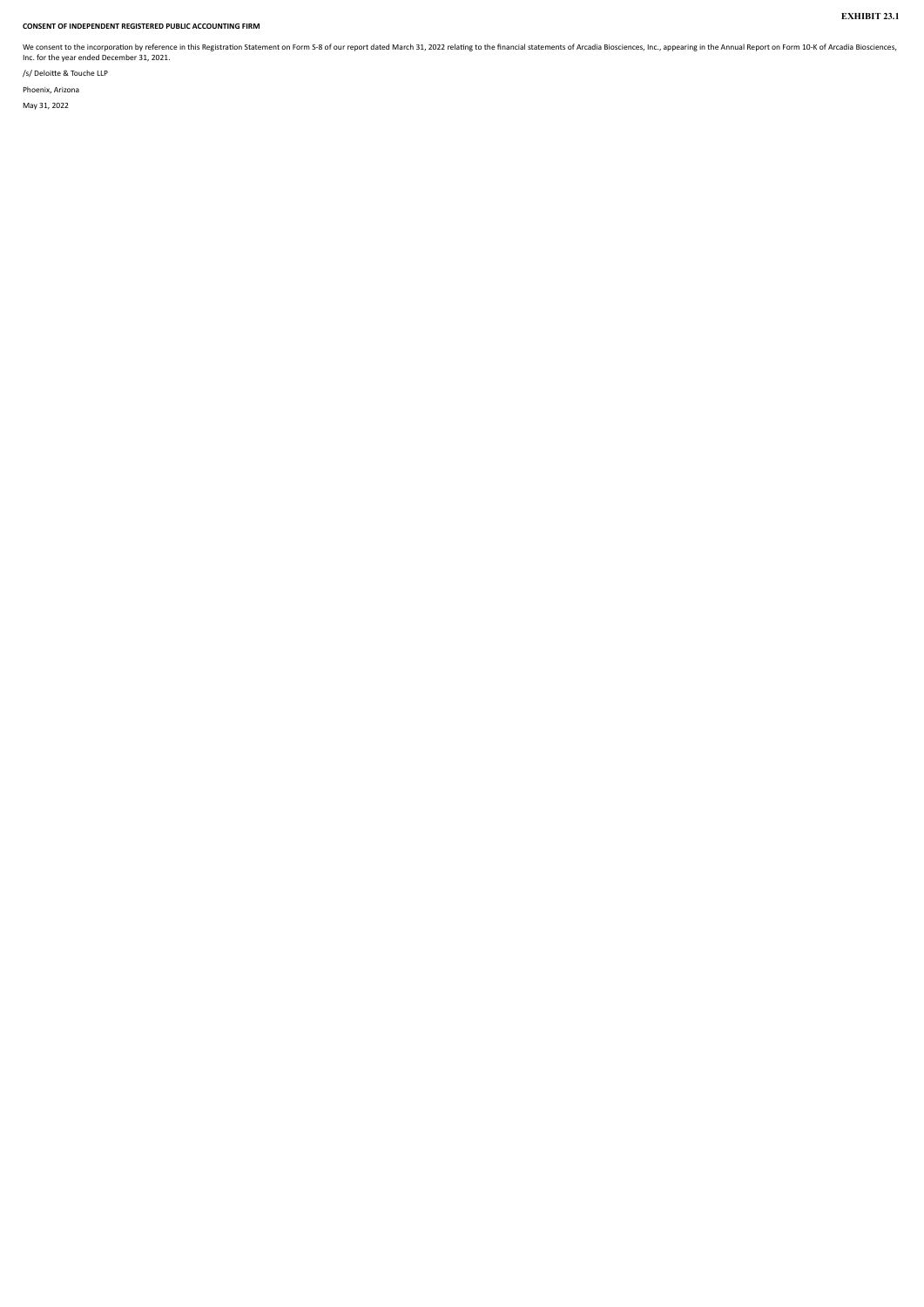# <span id="page-9-0"></span>**CONSENT OF INDEPENDENT REGISTERED PUBLIC ACCOUNTING FIRM**

We consent to the incorporation by reference in this Registration Statement on Form S-8 of our report dated March 31, 2022 relating to the financial statements of Arcadia Biosciences, Inc., appearing in the Annual Report o

**EXHIBIT 23.1**

/s/ Deloitte & Touche LLP Phoenix, Arizona May 31, 2022